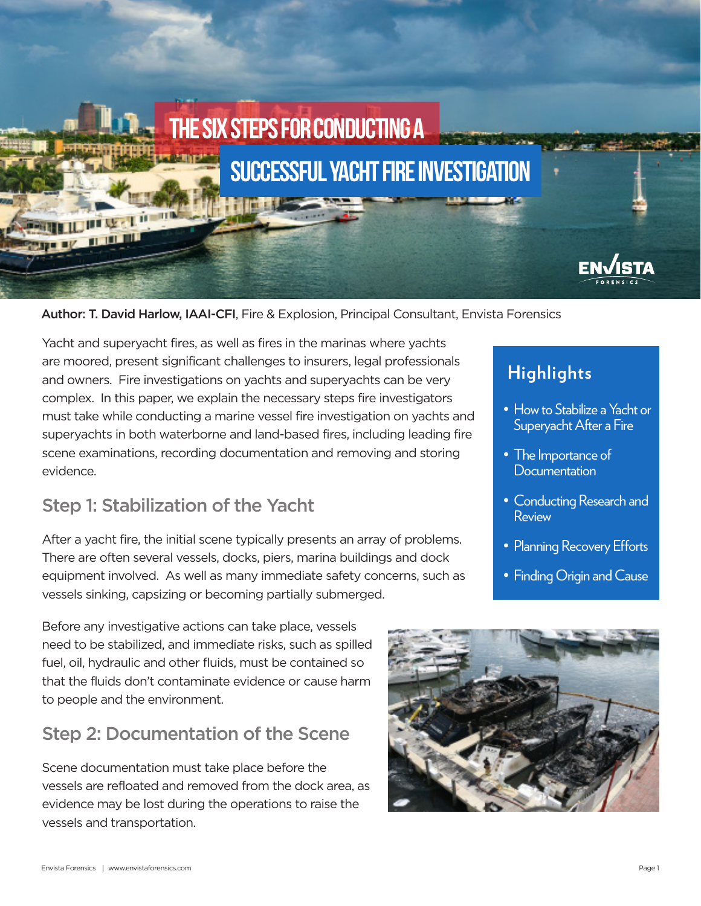

#### Author: T. David Harlow, IAAI-CFI, Fire & Explosion, Principal Consultant, Envista Forensics

Yacht and superyacht fires, as well as fires in the marinas where yachts are moored, present significant challenges to insurers, legal professionals and owners. Fire investigations on yachts and superyachts can be very complex. In this paper, we explain the necessary steps fire investigators must take while conducting a marine vessel fire investigation on yachts and superyachts in both waterborne and land-based fires, including leading fire scene examinations, recording documentation and removing and storing evidence.

#### Step 1: Stabilization of the Yacht

After a yacht fire, the initial scene typically presents an array of problems. There are often several vessels, docks, piers, marina buildings and dock equipment involved. As well as many immediate safety concerns, such as vessels sinking, capsizing or becoming partially submerged.

Before any investigative actions can take place, vessels need to be stabilized, and immediate risks, such as spilled fuel, oil, hydraulic and other fluids, must be contained so that the fluids don't contaminate evidence or cause harm to people and the environment.

#### Step 2: Documentation of the Scene

Scene documentation must take place before the vessels are refloated and removed from the dock area, as evidence may be lost during the operations to raise the vessels and transportation.



# **Highlights**

- How to Stabilize a Yacht or Superyacht After a Fire
- The Importance of **Documentation**
- Conducting Research and Review
- Planning Recovery Efforts
- Finding Origin and Cause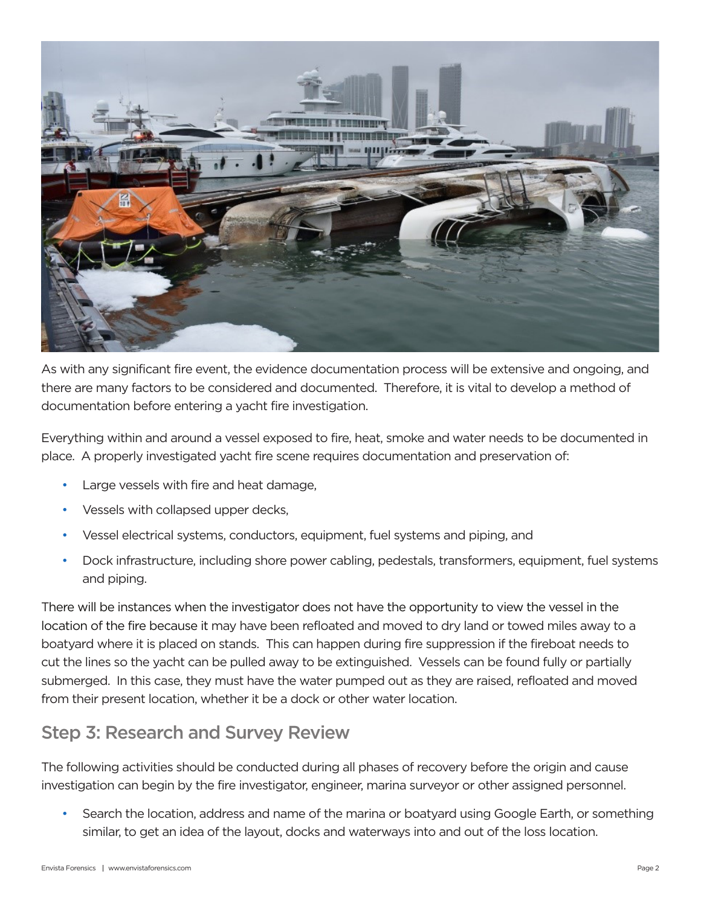

As with any significant fire event, the evidence documentation process will be extensive and ongoing, and there are many factors to be considered and documented. Therefore, it is vital to develop a method of documentation before entering a yacht fire investigation.

Everything within and around a vessel exposed to fire, heat, smoke and water needs to be documented in place. A properly investigated yacht fire scene requires documentation and preservation of:

- Large vessels with fire and heat damage,
- Vessels with collapsed upper decks,
- Vessel electrical systems, conductors, equipment, fuel systems and piping, and
- Dock infrastructure, including shore power cabling, pedestals, transformers, equipment, fuel systems and piping.

There will be instances when the investigator does not have the opportunity to view the vessel in the location of the fire because it may have been refloated and moved to dry land or towed miles away to a boatyard where it is placed on stands. This can happen during fire suppression if the fireboat needs to cut the lines so the yacht can be pulled away to be extinguished. Vessels can be found fully or partially submerged. In this case, they must have the water pumped out as they are raised, refloated and moved from their present location, whether it be a dock or other water location.

#### Step 3: Research and Survey Review

The following activities should be conducted during all phases of recovery before the origin and cause investigation can begin by the fire investigator, engineer, marina surveyor or other assigned personnel.

• Search the location, address and name of the marina or boatyard using Google Earth, or something similar, to get an idea of the layout, docks and waterways into and out of the loss location.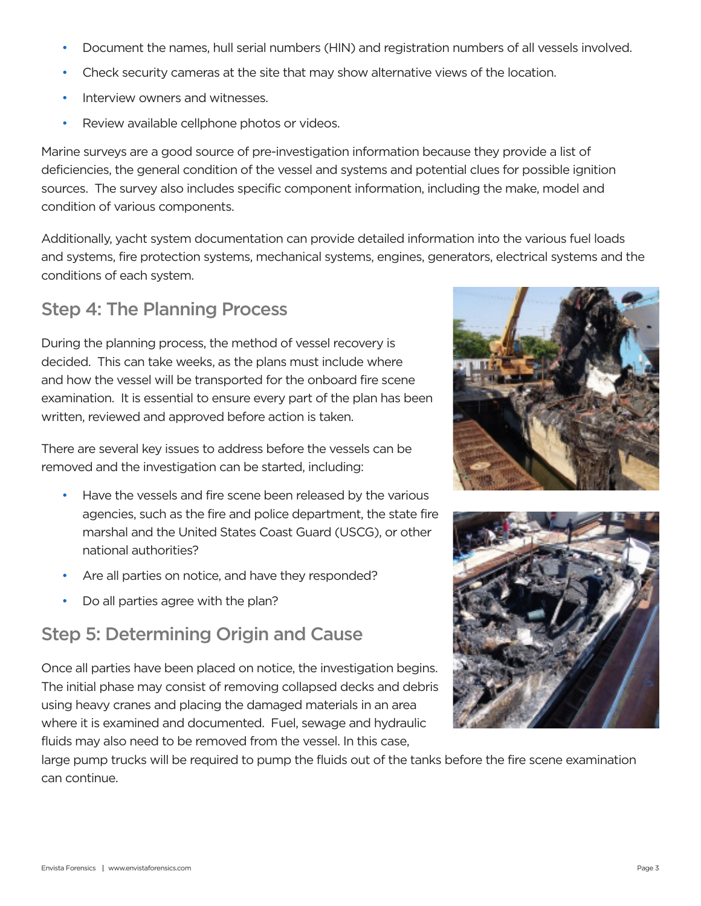- Document the names, hull serial numbers (HIN) and registration numbers of all vessels involved.
- Check security cameras at the site that may show alternative views of the location.
- Interview owners and witnesses.
- Review available cellphone photos or videos.

Marine surveys are a good source of pre-investigation information because they provide a list of deficiencies, the general condition of the vessel and systems and potential clues for possible ignition sources. The survey also includes specific component information, including the make, model and condition of various components.

Additionally, yacht system documentation can provide detailed information into the various fuel loads and systems, fire protection systems, mechanical systems, engines, generators, electrical systems and the conditions of each system.

### Step 4: The Planning Process

During the planning process, the method of vessel recovery is decided. This can take weeks, as the plans must include where and how the vessel will be transported for the onboard fire scene examination. It is essential to ensure every part of the plan has been written, reviewed and approved before action is taken.

There are several key issues to address before the vessels can be removed and the investigation can be started, including:

- Have the vessels and fire scene been released by the various agencies, such as the fire and police department, the state fire marshal and the United States Coast Guard (USCG), or other national authorities?
- Are all parties on notice, and have they responded?
- Do all parties agree with the plan?

### Step 5: Determining Origin and Cause

Once all parties have been placed on notice, the investigation begins. The initial phase may consist of removing collapsed decks and debris using heavy cranes and placing the damaged materials in an area where it is examined and documented. Fuel, sewage and hydraulic fluids may also need to be removed from the vessel. In this case,

large pump trucks will be required to pump the fluids out of the tanks before the fire scene examination can continue.